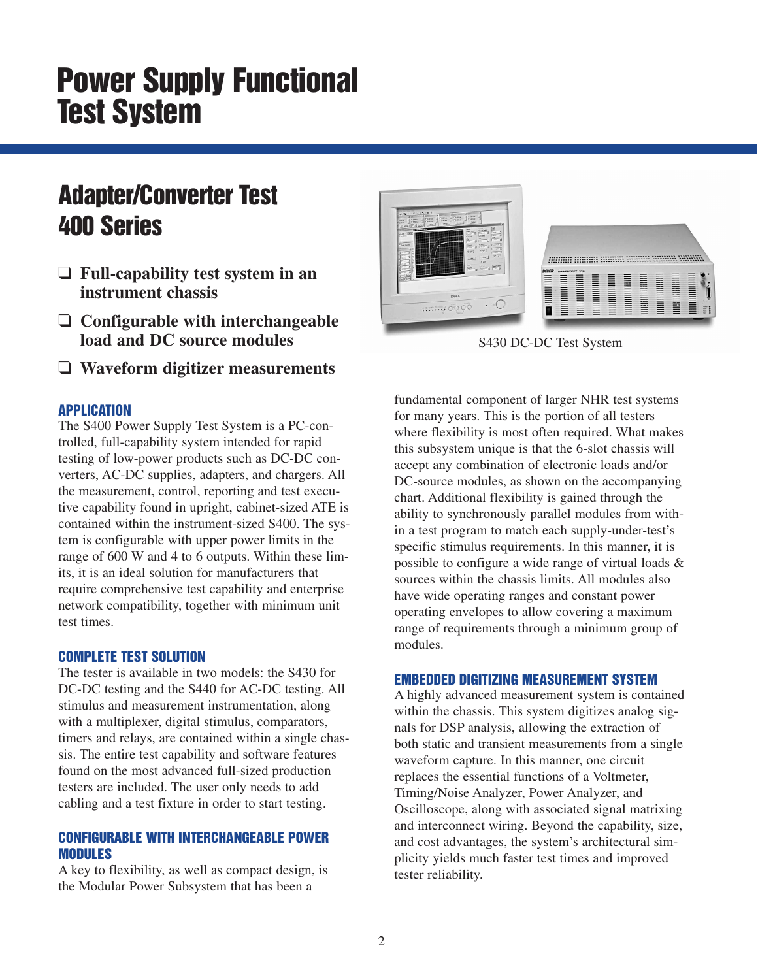# **Power Supply Functional Test System**

# **Adapter/Converter Test 400 Series**

- ❑ **Full-capability test system in an instrument chassis**
- ❑ **Configurable with interchangeable load and DC source modules**
- ❑ **Waveform digitizer measurements**

#### **APPLICATION**

The S400 Power Supply Test System is a PC-controlled, full-capability system intended for rapid testing of low-power products such as DC-DC converters, AC-DC supplies, adapters, and chargers. All the measurement, control, reporting and test executive capability found in upright, cabinet-sized ATE is contained within the instrument-sized S400. The system is configurable with upper power limits in the range of 600 W and 4 to 6 outputs. Within these limits, it is an ideal solution for manufacturers that require comprehensive test capability and enterprise network compatibility, together with minimum unit test times.

#### **COMPLETE TEST SOLUTION**

The tester is available in two models: the S430 for DC-DC testing and the S440 for AC-DC testing. All stimulus and measurement instrumentation, along with a multiplexer, digital stimulus, comparators, timers and relays, are contained within a single chassis. The entire test capability and software features found on the most advanced full-sized production testers are included. The user only needs to add cabling and a test fixture in order to start testing.

#### **CONFIGURABLE WITH INTERCHANGEABLE POWER MODULES**

A key to flexibility, as well as compact design, is the Modular Power Subsystem that has been a



S430 DC-DC Test System

fundamental component of larger NHR test systems for many years. This is the portion of all testers where flexibility is most often required. What makes this subsystem unique is that the 6-slot chassis will accept any combination of electronic loads and/or DC-source modules, as shown on the accompanying chart. Additional flexibility is gained through the ability to synchronously parallel modules from within a test program to match each supply-under-test's specific stimulus requirements. In this manner, it is possible to configure a wide range of virtual loads & sources within the chassis limits. All modules also have wide operating ranges and constant power operating envelopes to allow covering a maximum range of requirements through a minimum group of modules.

#### **EMBEDDED DIGITIZING MEASUREMENT SYSTEM**

A highly advanced measurement system is contained within the chassis. This system digitizes analog signals for DSP analysis, allowing the extraction of both static and transient measurements from a single waveform capture. In this manner, one circuit replaces the essential functions of a Voltmeter, Timing/Noise Analyzer, Power Analyzer, and Oscilloscope, along with associated signal matrixing and interconnect wiring. Beyond the capability, size, and cost advantages, the system's architectural simplicity yields much faster test times and improved tester reliability.